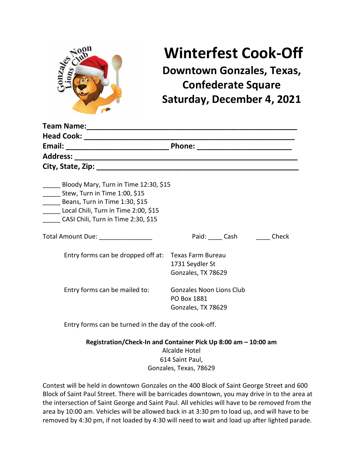

# **Winterfest Cook-Off**

**Downtown Gonzales, Texas, Confederate Square Saturday, December 4, 2021**

| Bloody Mary, Turn in Time 12:30, \$15<br>Stew, Turn in Time 1:00, \$15<br>Beans, Turn in Time 1:30, \$15<br>Local Chili, Turn in Time 2:00, \$15<br>CASI Chili, Turn in Time 2:30, \$15 |                                                                      |
|-----------------------------------------------------------------------------------------------------------------------------------------------------------------------------------------|----------------------------------------------------------------------|
|                                                                                                                                                                                         | Paid: Cash<br>Check                                                  |
| Entry forms can be dropped off at: Texas Farm Bureau                                                                                                                                    | 1731 Seydler St<br>Gonzales, TX 78629                                |
| Entry forms can be mailed to:                                                                                                                                                           | <b>Gonzales Noon Lions Club</b><br>PO Box 1881<br>Gonzales, TX 78629 |
| Entry forms can be turned in the day of the cook-off.                                                                                                                                   |                                                                      |
| Registration/Check-In and Container Pick Up 8:00 am - 10:00 am                                                                                                                          |                                                                      |

Alcalde Hotel 614 Saint Paul, Gonzales, Texas, 78629

Contest will be held in downtown Gonzales on the 400 Block of Saint George Street and 600 Block of Saint Paul Street. There will be barricades downtown, you may drive in to the area at the intersection of Saint George and Saint Paul. All vehicles will have to be removed from the area by 10:00 am. Vehicles will be allowed back in at 3:30 pm to load up, and will have to be removed by 4:30 pm, if not loaded by 4:30 will need to wait and load up after lighted parade.